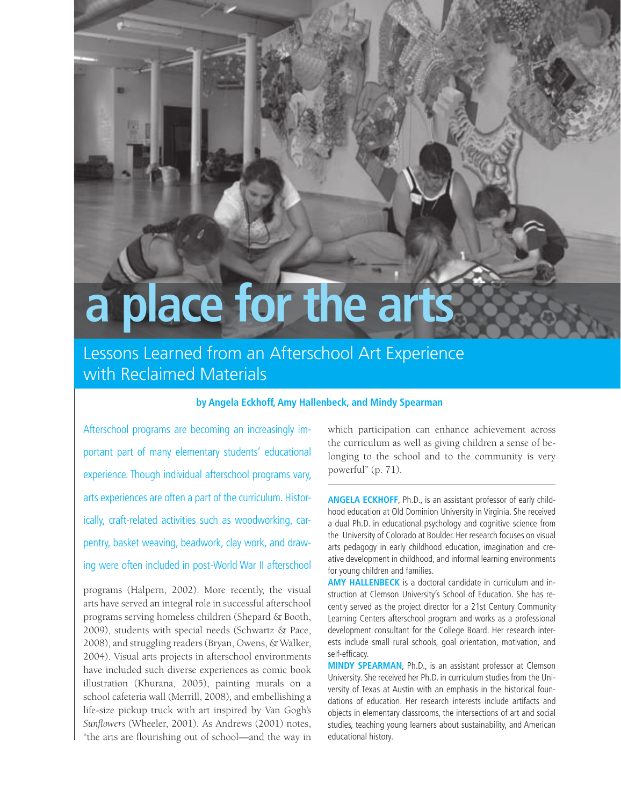# **a place for the arts**

# Lessons Learned from an Afterschool Art Experience<br>with Reclaimed Materials

# **by Angela Eckhoff, Amy Hallenbeck, and Mindy Spearman**

Afterschool programs are becoming an increasingly important part of many elementary students' educational experience. Though individual afterschool programs vary, arts experiences are often a part of the curriculum. Historically, craft-related activities such as woodworking, carpentry, basket weaving, beadwork, clay work, and drawing were often included in post-World War II afterschool

programs (Halpern, 2002). More recently, the visual arts have served an integral role in successful afterschool programs serving homeless children (Shepard & Booth, 2009), students with special needs (Schwartz & Pace, 2008), and struggling readers (Bryan, Owens, & Walker, 2004). Visual arts projects in afterschool environments have included such diverse experiences as comic book illustration (Khurana, 2005), painting murals on a school cafeteria wall (Merrill, 2008), and embellishing a life-size pickup truck with art inspired by Van Gogh's *Sunflowers* (Wheeler, 2001). As Andrews (2001) notes, "the arts are flourishing out of school—and the way in

which participation can enhance achievement across the curriculum as well as giving children a sense of belonging to the school and to the community is very powerful" (p. 71).

**ANGELA ECKHOFF**, Ph.D., is an assistant professor of early childhood education at Old Dominion University in Virginia. She received a dual Ph.D. in educational psychology and cognitive science from the University of Colorado at Boulder. Her research focuses on visual arts pedagogy in early childhood education, imagination and creative development in childhood, and informal learning environments for young children and families.

**AMY HALLENBECK** is a doctoral candidate in curriculum and instruction at Clemson University's School of Education. She has recently served as the project director for a 21st Century Community Learning Centers afterschool program and works as a professional development consultant for the College Board. Her research interests include small rural schools, goal orientation, motivation, and self-efficacy.

**MINDY SPEARMAN**, Ph.D., is an assistant professor at Clemson University. She received her Ph.D. in curriculum studies from the University of Texas at Austin with an emphasis in the historical foundations of education. Her research interests include artifacts and objects in elementary classrooms, the intersections of art and social studies, teaching young learners about sustainability, and American educational history.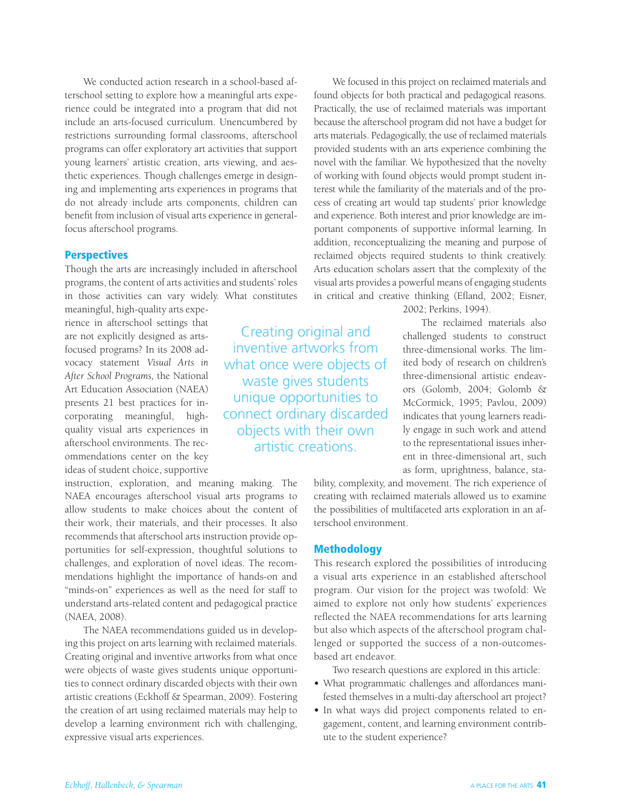We conducted action research in a school-based afterschool setting to explore how a meaningful arts experience could be integrated into a program that did not include an arts-focused curriculum. Unencumbered by restrictions surrounding formal classrooms, afterschool programs can offer exploratory art activities that support young learners' artistic creation, arts viewing, and aesthetic experiences. Though challenges emerge in designing and implementing arts experiences in programs that do not already include arts components, children can benefit from inclusion of visual arts experience in generalfocus afterschool programs.

#### **Perspectives**

Though the arts are increasingly included in afterschool programs, the content of arts activities and students' roles in those activities can vary widely. What constitutes

meaningful, high-quality arts experience in afterschool settings that afterschool environments. The rec- artistic creations. ommendations center on the key ideas of student choice, supportive

NAEA encourages afterschool visual arts programs to Ì. instruction, exploration, and meaning making. The NAEA encourages afterschool visual arts programs to allow students to make choices about the content of their work, their materials, and their processes. It also recommends that afterschool arts instruction provide opportunities for self-expression, thoughtful solutions to challenges, and exploration of novel ideas. The recommendations highlight the importance of hands-on and "minds-on" experiences as well as the need for staff to understand arts-related content and pedagogical practice (NAEA, 2008).

The NAEA recommendations guided us in developing this project on arts learning with reclaimed materials. Creating original and inventive artworks from what once were objects of waste gives students unique opportunities to connect ordinary discarded objects with their own artistic creations (Eckhoff & Spearman, 2009). Fostering the creation of art using reclaimed materials may help to develop a learning environment rich with challenging, expressive visual arts experiences.

are not explicitly designed as arts- Creating original and focused programs? In its 2008 ad- inventive artworks from three-dimensional works. The limvocacy statement *Visual Arts in What once were objects of* ited body of research on children's *After School Programs*, the National *MARTA GIVOS STUDONTS* three-dimensional artistic endeav-*After School Programs,* the National artistic endeavorship artistic endeavorship artistic endeavorship art Education Association (NAEA) or  $\overline{\text{G}}$  (Golomb & Students & Golomb & Golomb & Golombi, 2004; Golombi, 2004; Go presents 21 best practices for in-<br>presents 21 best practices for in-<br> $\frac{1000 \text{ m}}{2009}$  unique opportunities to  $\frac{600 \text{ m}}{2009}$  McCormick, 1995; Pavlou, 2009) corporating meaningful, high- **CONNECT Ordinary discarded** indicates that young learners readiquality visual arts experiences in objects with their own ly engage in such work and attend<br>afterschool environments. The rec-<br>article croations to the representational issues inher-

We focused in this project on reclaimed materials and found objects for both practical and pedagogical reasons. Practically, the use of reclaimed materials was important because the afterschool program did not have a budget for arts materials. Pedagogically, the use of reclaimed materials provided students with an arts experience combining the novel with the familiar. We hypothesized that the novelty of working with found objects would prompt student interest while the familiarity of the materials and of the process of creating art would tap students' prior knowledge and experience. Both interest and prior knowledge are important components of supportive informal learning. In addition, reconceptualizing the meaning and purpose of reclaimed objects required students to think creatively. Arts education scholars assert that the complexity of the visual arts provides a powerful means of engaging students in critical and creative thinking (Efland, 2002; Eisner,

2002; Perkins, 1994).

 The reclaimed materials also challenged students to construct ors (Golomb, 2004; Golomb & ent in three-dimensional art, such as form, uprightness, balance, sta-

bility, complexity, and movement. The rich experience of creating with reclaimed materials allowed us to examine the possibilities of multifaceted arts exploration in an afterschool environment.

#### **Methodology**

This research explored the possibilities of introducing a visual arts experience in an established afterschool program. Our vision for the project was twofold: We aimed to explore not only how students' experiences reflected the NAEA recommendations for arts learning but also which aspects of the afterschool program challenged or supported the success of a non-outcomesbased art endeavor.

Two research questions are explored in this article:

- **•** What programmatic challenges and affordances manifested themselves in a multi-day afterschool art project?
- **•** In what ways did project components related to engagement, content, and learning environment contribute to the student experience?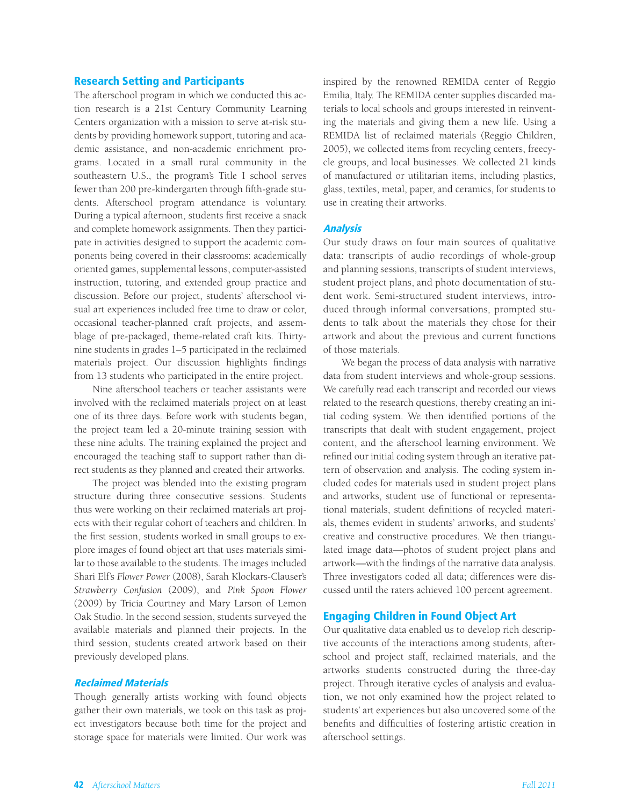#### Research Setting and Participants

The afterschool program in which we conducted this action research is a 21st Century Community Learning Centers organization with a mission to serve at-risk students by providing homework support, tutoring and academic assistance, and non-academic enrichment programs. Located in a small rural community in the southeastern U.S., the program's Title I school serves fewer than 200 pre-kindergarten through fifth-grade students. Afterschool program attendance is voluntary. During a typical afternoon, students first receive a snack and complete homework assignments. Then they participate in activities designed to support the academic components being covered in their classrooms: academically oriented games, supplemental lessons, computer-assisted instruction, tutoring, and extended group practice and discussion. Before our project, students' afterschool visual art experiences included free time to draw or color, occasional teacher-planned craft projects, and assemblage of pre-packaged, theme-related craft kits. Thirtynine students in grades 1–5 participated in the reclaimed materials project. Our discussion highlights findings from 13 students who participated in the entire project.

Nine afterschool teachers or teacher assistants were involved with the reclaimed materials project on at least one of its three days. Before work with students began, the project team led a 20-minute training session with these nine adults. The training explained the project and encouraged the teaching staff to support rather than direct students as they planned and created their artworks.

The project was blended into the existing program structure during three consecutive sessions. Students thus were working on their reclaimed materials art projects with their regular cohort of teachers and children. In the first session, students worked in small groups to explore images of found object art that uses materials similar to those available to the students. The images included Shari Elf's *Flower Power* (2008), Sarah Klockars-Clauser's *Strawberry Confusion* (2009), and *Pink Spoon Flower*  (2009) by Tricia Courtney and Mary Larson of Lemon Oak Studio. In the second session, students surveyed the available materials and planned their projects. In the third session, students created artwork based on their previously developed plans.

#### Reclaimed Materials

Though generally artists working with found objects gather their own materials, we took on this task as project investigators because both time for the project and storage space for materials were limited. Our work was

inspired by the renowned REMIDA center of Reggio Emilia, Italy. The REMIDA center supplies discarded materials to local schools and groups interested in reinventing the materials and giving them a new life. Using a REMIDA list of reclaimed materials (Reggio Children, 2005), we collected items from recycling centers, freecycle groups, and local businesses. We collected 21 kinds of manufactured or utilitarian items, including plastics, glass, textiles, metal, paper, and ceramics, for students to use in creating their artworks.

#### Analysis

Our study draws on four main sources of qualitative data: transcripts of audio recordings of whole-group and planning sessions, transcripts of student interviews, student project plans, and photo documentation of student work. Semi-structured student interviews, introduced through informal conversations, prompted students to talk about the materials they chose for their artwork and about the previous and current functions of those materials.

We began the process of data analysis with narrative data from student interviews and whole-group sessions. We carefully read each transcript and recorded our views related to the research questions, thereby creating an initial coding system. We then identified portions of the transcripts that dealt with student engagement, project content, and the afterschool learning environment. We refined our initial coding system through an iterative pattern of observation and analysis. The coding system included codes for materials used in student project plans and artworks, student use of functional or representational materials, student definitions of recycled materials, themes evident in students' artworks, and students' creative and constructive procedures. We then triangulated image data—photos of student project plans and artwork—with the findings of the narrative data analysis. Three investigators coded all data; differences were discussed until the raters achieved 100 percent agreement.

# Engaging Children in Found Object Art

Our qualitative data enabled us to develop rich descriptive accounts of the interactions among students, afterschool and project staff, reclaimed materials, and the artworks students constructed during the three-day project. Through iterative cycles of analysis and evaluation, we not only examined how the project related to students' art experiences but also uncovered some of the benefits and difficulties of fostering artistic creation in afterschool settings.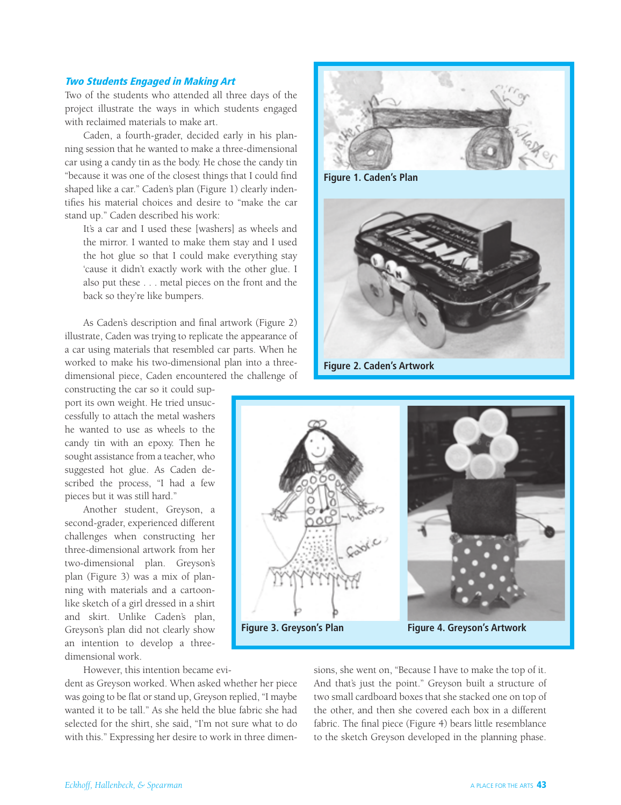## Two Students Engaged in Making Art

Two of the students who attended all three days of the project illustrate the ways in which students engaged with reclaimed materials to make art.

Caden, a fourth-grader, decided early in his planning session that he wanted to make a three-dimensional car using a candy tin as the body. He chose the candy tin "because it was one of the closest things that I could find shaped like a car." Caden's plan (Figure 1) clearly indentifies his material choices and desire to "make the car stand up." Caden described his work:

It's a car and I used these [washers] as wheels and the mirror. I wanted to make them stay and I used the hot glue so that I could make everything stay 'cause it didn't exactly work with the other glue. I also put these . . . metal pieces on the front and the back so they're like bumpers.

As Caden's description and final artwork (Figure 2) illustrate, Caden was trying to replicate the appearance of a car using materials that resembled car parts. When he worked to make his two-dimensional plan into a threedimensional piece, Caden encountered the challenge of

 scribed the process, "I had a few pieces but it was still hard." constructing the car so it could support its own weight. He tried unsuccessfully to attach the metal washers he wanted to use as wheels to the candy tin with an epoxy. Then he sought assistance from a teacher, who suggested hot glue. As Caden de-

Another student, Greyson, a second-grader, experienced different challenges when constructing her three-dimensional artwork from her two-dimensional plan. Greyson's plan (Figure 3) was a mix of planning with materials and a cartoonlike sketch of a girl dressed in a shirt and skirt. Unlike Caden's plan, Greyson's plan did not clearly show an intention to develop a threedimensional work.

However, this intention became evi-

dent as Greyson worked. When asked whether her piece was going to be flat or stand up, Greyson replied, "I maybe wanted it to be tall." As she held the blue fabric she had selected for the shirt, she said, "I'm not sure what to do with this." Expressing her desire to work in three dimensions, she went on, "Because I have to make the top of it. And that's just the point." Greyson built a structure of two small cardboard boxes that she stacked one on top of the other, and then she covered each box in a different fabric. The final piece (Figure 4) bears little resemblance to the sketch Greyson developed in the planning phase.



**Figure 1. Caden's Plan** 



**Figure 2. Caden's Artwork** 

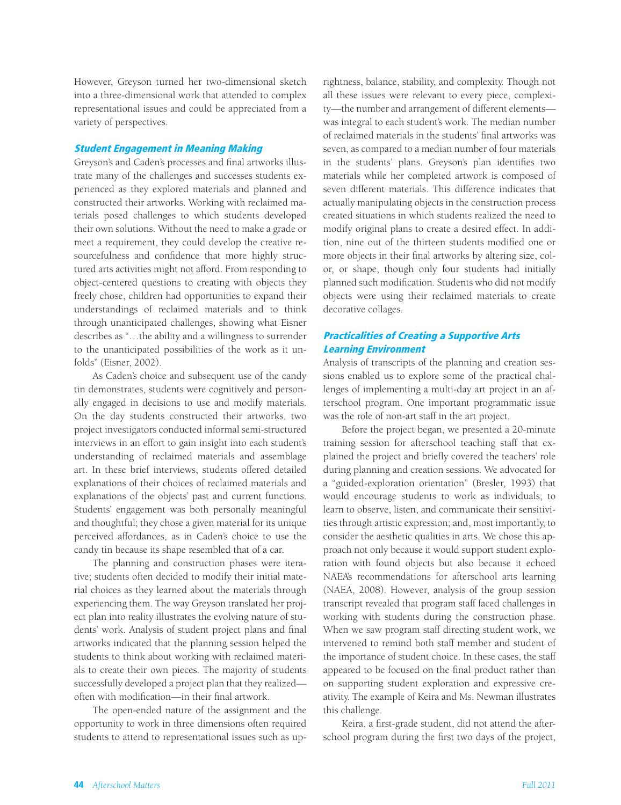However, Greyson turned her two-dimensional sketch into a three-dimensional work that attended to complex representational issues and could be appreciated from a variety of perspectives.

#### Student Engagement in Meaning Making

Greyson's and Caden's processes and final artworks illustrate many of the challenges and successes students experienced as they explored materials and planned and constructed their artworks. Working with reclaimed materials posed challenges to which students developed their own solutions. Without the need to make a grade or meet a requirement, they could develop the creative resourcefulness and confidence that more highly structured arts activities might not afford. From responding to object-centered questions to creating with objects they freely chose, children had opportunities to expand their understandings of reclaimed materials and to think through unanticipated challenges, showing what Eisner describes as "…the ability and a willingness to surrender to the unanticipated possibilities of the work as it unfolds" (Eisner, 2002).

As Caden's choice and subsequent use of the candy tin demonstrates, students were cognitively and personally engaged in decisions to use and modify materials. On the day students constructed their artworks, two project investigators conducted informal semi-structured interviews in an effort to gain insight into each student's understanding of reclaimed materials and assemblage art. In these brief interviews, students offered detailed explanations of their choices of reclaimed materials and explanations of the objects' past and current functions. Students' engagement was both personally meaningful and thoughtful; they chose a given material for its unique perceived affordances, as in Caden's choice to use the candy tin because its shape resembled that of a car.

The planning and construction phases were iterative; students often decided to modify their initial material choices as they learned about the materials through experiencing them. The way Greyson translated her project plan into reality illustrates the evolving nature of students' work. Analysis of student project plans and final artworks indicated that the planning session helped the students to think about working with reclaimed materials to create their own pieces. The majority of students successfully developed a project plan that they realized often with modification—in their final artwork.

The open-ended nature of the assignment and the opportunity to work in three dimensions often required students to attend to representational issues such as uprightness, balance, stability, and complexity. Though not all these issues were relevant to every piece, complexity—the number and arrangement of different elements was integral to each student's work. The median number of reclaimed materials in the students' final artworks was seven, as compared to a median number of four materials in the students' plans. Greyson's plan identifies two materials while her completed artwork is composed of seven different materials. This difference indicates that actually manipulating objects in the construction process created situations in which students realized the need to modify original plans to create a desired effect. In addition, nine out of the thirteen students modified one or more objects in their final artworks by altering size, color, or shape, though only four students had initially planned such modification. Students who did not modify objects were using their reclaimed materials to create decorative collages.

# Practicalities of Creating a Supportive Arts Learning Environment

Analysis of transcripts of the planning and creation sessions enabled us to explore some of the practical challenges of implementing a multi-day art project in an afterschool program. One important programmatic issue was the role of non-art staff in the art project.

Before the project began, we presented a 20-minute training session for afterschool teaching staff that explained the project and briefly covered the teachers' role during planning and creation sessions. We advocated for a "guided-exploration orientation" (Bresler, 1993) that would encourage students to work as individuals; to learn to observe, listen, and communicate their sensitivities through artistic expression; and, most importantly, to consider the aesthetic qualities in arts. We chose this approach not only because it would support student exploration with found objects but also because it echoed NAEA's recommendations for afterschool arts learning (NAEA, 2008). However, analysis of the group session transcript revealed that program staff faced challenges in working with students during the construction phase. When we saw program staff directing student work, we intervened to remind both staff member and student of the importance of student choice. In these cases, the staff appeared to be focused on the final product rather than on supporting student exploration and expressive creativity. The example of Keira and Ms. Newman illustrates this challenge.

Keira, a first-grade student, did not attend the afterschool program during the first two days of the project,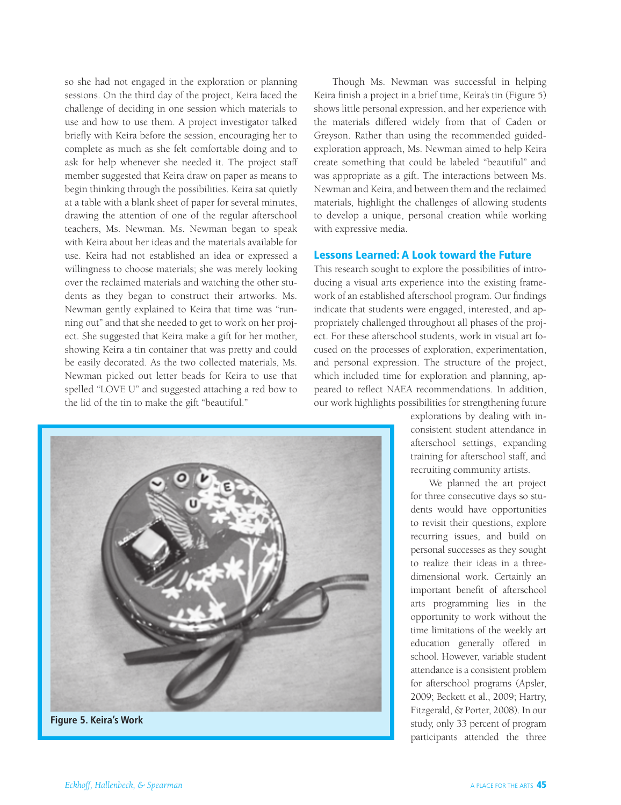so she had not engaged in the exploration or planning sessions. On the third day of the project, Keira faced the challenge of deciding in one session which materials to use and how to use them. A project investigator talked briefly with Keira before the session, encouraging her to complete as much as she felt comfortable doing and to ask for help whenever she needed it. The project staff member suggested that Keira draw on paper as means to begin thinking through the possibilities. Keira sat quietly at a table with a blank sheet of paper for several minutes, drawing the attention of one of the regular afterschool teachers, Ms. Newman. Ms. Newman began to speak with Keira about her ideas and the materials available for use. Keira had not established an idea or expressed a willingness to choose materials; she was merely looking over the reclaimed materials and watching the other students as they began to construct their artworks. Ms. Newman gently explained to Keira that time was "running out" and that she needed to get to work on her project. She suggested that Keira make a gift for her mother, showing Keira a tin container that was pretty and could be easily decorated. As the two collected materials, Ms. Newman picked out letter beads for Keira to use that spelled "LOVE U" and suggested attaching a red bow to the lid of the tin to make the gift "beautiful."



Though Ms. Newman was successful in helping Keira finish a project in a brief time, Keira's tin (Figure 5) shows little personal expression, and her experience with the materials differed widely from that of Caden or Greyson. Rather than using the recommended guidedexploration approach, Ms. Newman aimed to help Keira create something that could be labeled "beautiful" and was appropriate as a gift. The interactions between Ms. Newman and Keira, and between them and the reclaimed materials, highlight the challenges of allowing students to develop a unique, personal creation while working with expressive media.

## Lessons Learned: A Look toward the Future

This research sought to explore the possibilities of introducing a visual arts experience into the existing framework of an established afterschool program. Our findings indicate that students were engaged, interested, and appropriately challenged throughout all phases of the project. For these afterschool students, work in visual art focused on the processes of exploration, experimentation, and personal expression. The structure of the project, which included time for exploration and planning, appeared to reflect NAEA recommendations. In addition, our work highlights possibilities for strengthening future

explorations by dealing with inconsistent student attendance in afterschool settings, expanding training for afterschool staff, and recruiting community artists.

 recurring issues, and build on arts programming lies in the education generally offered in participants attended the three We planned the art project for three consecutive days so students would have opportunities to revisit their questions, explore personal successes as they sought to realize their ideas in a threedimensional work. Certainly an important benefit of afterschool opportunity to work without the time limitations of the weekly art school. However, variable student attendance is a consistent problem for afterschool programs (Apsler, 2009; Beckett et al., 2009; Hartry, Fitzgerald, & Porter, 2008). In our study, only 33 percent of program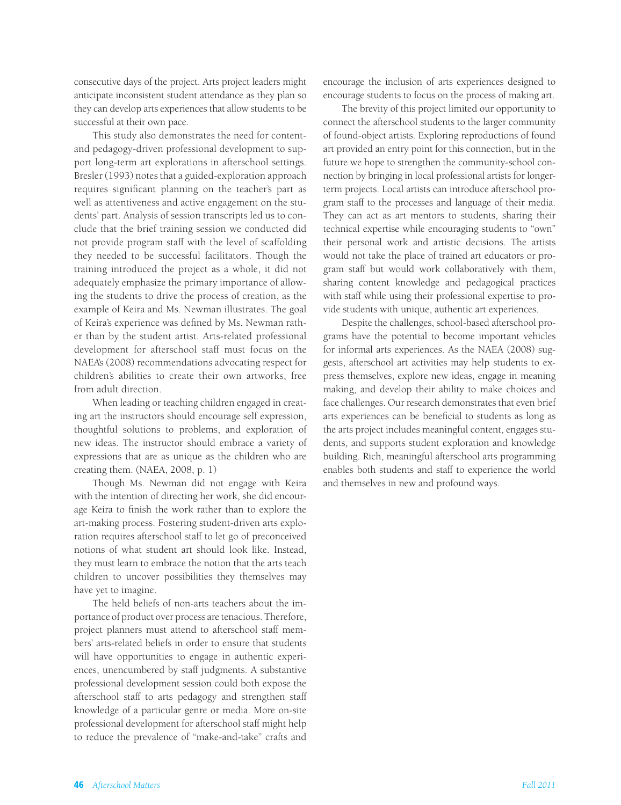consecutive days of the project. Arts project leaders might anticipate inconsistent student attendance as they plan so they can develop arts experiences that allow students to be successful at their own pace.

This study also demonstrates the need for contentand pedagogy-driven professional development to support long-term art explorations in afterschool settings. Bresler (1993) notes that a guided-exploration approach requires significant planning on the teacher's part as well as attentiveness and active engagement on the students' part. Analysis of session transcripts led us to conclude that the brief training session we conducted did not provide program staff with the level of scaffolding they needed to be successful facilitators. Though the training introduced the project as a whole, it did not adequately emphasize the primary importance of allowing the students to drive the process of creation, as the example of Keira and Ms. Newman illustrates. The goal of Keira's experience was defined by Ms. Newman rather than by the student artist. Arts-related professional development for afterschool staff must focus on the NAEA's (2008) recommendations advocating respect for children's abilities to create their own artworks, free from adult direction.

When leading or teaching children engaged in creating art the instructors should encourage self expression, thoughtful solutions to problems, and exploration of new ideas. The instructor should embrace a variety of expressions that are as unique as the children who are creating them. (NAEA, 2008, p. 1)

Though Ms. Newman did not engage with Keira with the intention of directing her work, she did encourage Keira to finish the work rather than to explore the art-making process. Fostering student-driven arts exploration requires afterschool staff to let go of preconceived notions of what student art should look like. Instead, they must learn to embrace the notion that the arts teach children to uncover possibilities they themselves may have yet to imagine.

The held beliefs of non-arts teachers about the importance of product over process are tenacious. Therefore, project planners must attend to afterschool staff members' arts-related beliefs in order to ensure that students will have opportunities to engage in authentic experiences, unencumbered by staff judgments. A substantive professional development session could both expose the afterschool staff to arts pedagogy and strengthen staff knowledge of a particular genre or media. More on-site professional development for afterschool staff might help to reduce the prevalence of "make-and-take" crafts and

encourage the inclusion of arts experiences designed to encourage students to focus on the process of making art.

The brevity of this project limited our opportunity to connect the afterschool students to the larger community of found-object artists. Exploring reproductions of found art provided an entry point for this connection, but in the future we hope to strengthen the community-school connection by bringing in local professional artists for longerterm projects. Local artists can introduce afterschool program staff to the processes and language of their media. They can act as art mentors to students, sharing their technical expertise while encouraging students to "own" their personal work and artistic decisions. The artists would not take the place of trained art educators or program staff but would work collaboratively with them, sharing content knowledge and pedagogical practices with staff while using their professional expertise to provide students with unique, authentic art experiences.

Despite the challenges, school-based afterschool programs have the potential to become important vehicles for informal arts experiences. As the NAEA (2008) suggests, afterschool art activities may help students to express themselves, explore new ideas, engage in meaning making, and develop their ability to make choices and face challenges. Our research demonstrates that even brief arts experiences can be beneficial to students as long as the arts project includes meaningful content, engages students, and supports student exploration and knowledge building. Rich, meaningful afterschool arts programming enables both students and staff to experience the world and themselves in new and profound ways.